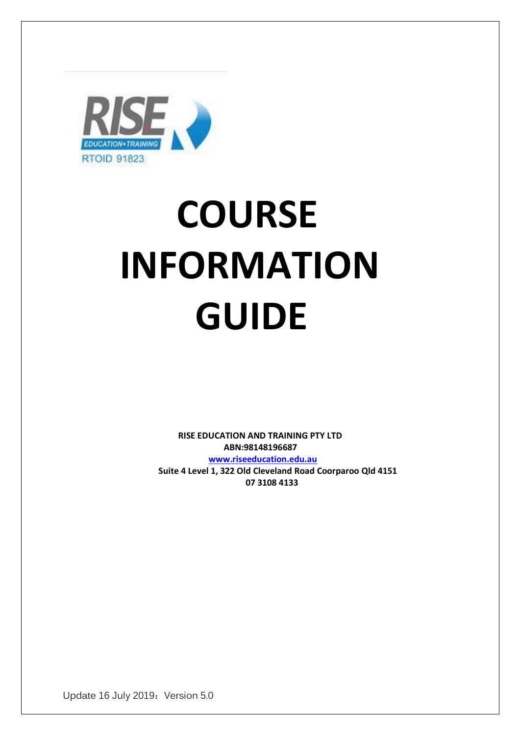

# **COURSE INFORMATION GUIDE**

 **RISE EDUCATION AND TRAINING PTY LTD ABN:98148196687 [www.riseeducation.edu.au](http://www.riseeducation.edu.au/)  Suite 4 Level 1, 322 Old Cleveland Road Coorparoo Qld 4151 07 3108 4133** 

Update 16 July 2019: Version 5.0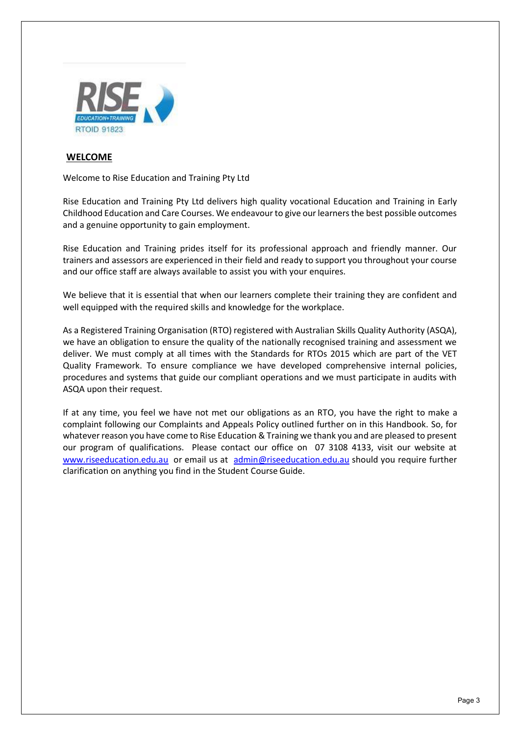

#### **WELCOME**

Welcome to Rise Education and Training Pty Ltd

Rise Education and Training Pty Ltd delivers high quality vocational Education and Training in Early Childhood Education and Care Courses. We endeavour to give our learners the best possible outcomes and a genuine opportunity to gain employment.

Rise Education and Training prides itself for its professional approach and friendly manner. Our trainers and assessors are experienced in their field and ready to support you throughout your course and our office staff are always available to assist you with your enquires.

We believe that it is essential that when our learners complete their training they are confident and well equipped with the required skills and knowledge for the workplace.

As a Registered Training Organisation (RTO) registered with Australian Skills Quality Authority (ASQA), we have an obligation to ensure the quality of the nationally recognised training and assessment we deliver. We must comply at all times with the Standards for RTOs 2015 which are part of the VET Quality Framework. To ensure compliance we have developed comprehensive internal policies, procedures and systems that guide our compliant operations and we must participate in audits with ASQA upon their request.

If at any time, you feel we have not met our obligations as an RTO, you have the right to make a complaint following our Complaints and Appeals Policy outlined further on in this Handbook. So, for whatever reason you have come to Rise Education & Training we thank you and are pleased to present our program of qualifications. Please contact our office on 07 3108 4133, visit our website at [www.riseeducation.edu.au](http://www.riseeducation.edu.au/) [o](http://www.tlctrainingsolutions.com.au/)r email us at [admin@riseeducation.edu.au](mailto:admin@riseeducation.edu.au) should you require further clarification on anything you find in the Student Course Guide.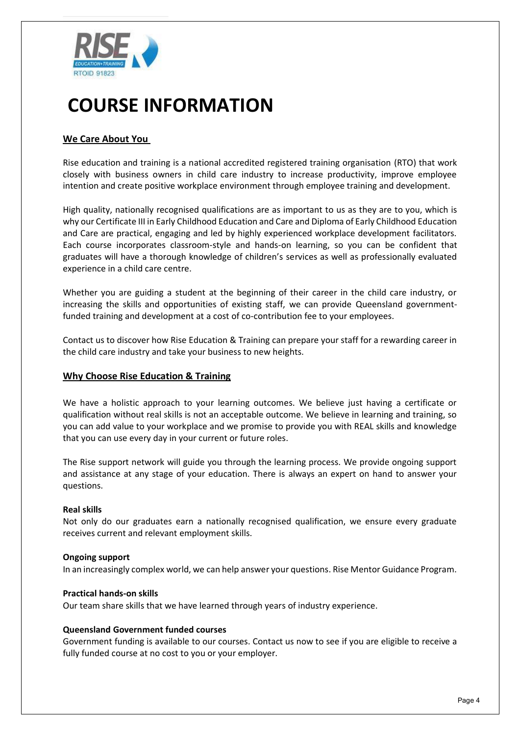

#### **We Care About You**

Rise education and training is a national accredited registered training organisation (RTO) that work closely with business owners in child care industry to increase productivity, improve employee intention and create positive workplace environment through employee training and development.

High quality, nationally recognised qualifications are as important to us as they are to you, which is why our Certificate III in Early Childhood Education and Care and Diploma of Early Childhood Education and Care are practical, engaging and led by highly experienced workplace development facilitators. Each course incorporates classroom-style and hands-on learning, so you can be confident that graduates will have a thorough knowledge of children's services as well as professionally evaluated experience in a child care centre.

Whether you are guiding a student at the beginning of their career in the child care industry, or increasing the skills and opportunities of existing staff, we can provide Queensland governmentfunded training and development at a cost of co-contribution fee to your employees.

Contact us to discover how Rise Education & Training can prepare your staff for a rewarding career in the child care industry and take your business to new heights.

#### **Why Choose Rise Education & Training**

We have a holistic approach to your learning outcomes. We believe just having a certificate or qualification without real skills is not an acceptable outcome. We believe in learning and training, so you can add value to your workplace and we promise to provide you with REAL skills and knowledge that you can use every day in your current or future roles.

The Rise support network will guide you through the learning process. We provide ongoing support and assistance at any stage of your education. There is always an expert on hand to answer your questions.

#### **Real skills**

Not only do our graduates earn a nationally recognised qualification, we ensure every graduate receives current and relevant employment skills.

#### **Ongoing support**

In an increasingly complex world, we can help answer your questions. Rise Mentor Guidance Program.

#### **Practical hands-on skills**

Our team share skills that we have learned through years of industry experience.

#### **Queensland Government funded courses**

Government funding is available to our courses. Contact us now to see if you are eligible to receive a fully funded course at no cost to you or your employer.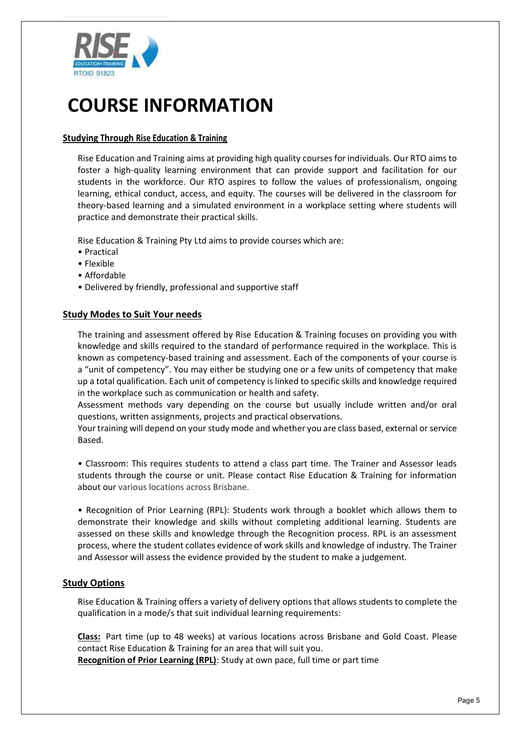

#### **Studying Through Rise Education & Training**

Rise Education and Training aims at providing high quality courses for individuals. Our RTO aims to foster a high-quality learning environment that can provide support and facilitation for our students in the workforce. Our RTO aspires to follow the values of professionalism, ongoing learning, ethical conduct, access, and equity. The courses will be delivered in the classroom for theory-based learning and a simulated environment in a workplace setting where students will practice and demonstrate their practical skills.

Rise Education & Training Pty Ltd aims to provide courses which are:

- Practical
- Flexible
- Affordable
- Delivered by friendly, professional and supportive staff

#### **Study Modes to Suit Your needs**

The training and assessment offered by Rise Education & Training focuses on providing you with knowledge and skills required to the standard of performance required in the workplace. This is known as competency-based training and assessment. Each of the components of your course is a "unit of competency". You may either be studying one or a few units of competency that make up a total qualification. Each unit of competency is linked to specific skills and knowledge required in the workplace such as communication or health and safety.

Assessment methods vary depending on the course but usually include written and/or oral questions, written assignments, projects and practical observations.

Your training will depend on your study mode and whether you are class based, external or service Based.

• Classroom: This requires students to attend a class part time. The Trainer and Assessor leads students through the course or unit. Please contact Rise Education & Training for information about our various locations across Brisbane.

• Recognition of Prior Learning (RPL): Students work through a booklet which allows them to demonstrate their knowledge and skills without completing additional learning. Students are assessed on these skills and knowledge through the Recognition process. RPL is an assessment process, where the student collates evidence of work skills and knowledge of industry. The Trainer and Assessor will assess the evidence provided by the student to make a judgement.

#### **Study Options**

Rise Education & Training offers a variety of delivery options that allows students to complete the qualification in a mode/s that suit individual learning requirements:

**[Class:](https://www.accco.com.au/students/class/)** Part time (up to 48 weeks) at various locations across Brisbane and Gold Coast. Please contact Rise Education & Training for an area that will suit you. **[Recognition of Prior Learning \(RPL\)](https://www.accco.com.au/students/rpl/)**: Study at own pace, full time or part time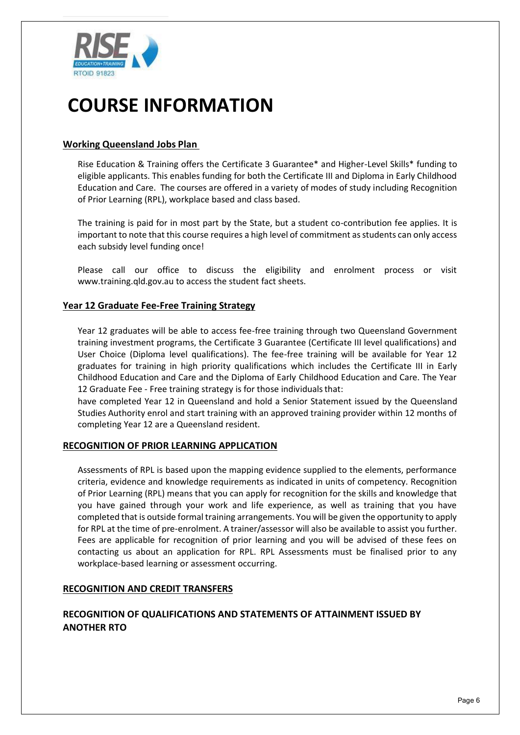

#### **Working Queensland Jobs Plan**

Rise Education & Training offers the Certificate 3 Guarantee\* and Higher-Level Skills\* funding to eligible applicants. This enables funding for both the Certificate III and Diploma in Early Childhood Education and Care. The courses are offered in a variety of modes of study including Recognition of Prior Learning (RPL), workplace based and class based.

The training is paid for in most part by the State, but a student co-contribution fee applies. It is important to note that this course requires a high level of commitment as students can only access each subsidy level funding once!

Please call our office to discuss the eligibility and enrolment process or visit www.training.qld.gov.au to access the student fact sheets.

#### **Year 12 Graduate Fee-Free Training Strategy**

Year 12 graduates will be able to access fee-free training through two Queensland Government training investment programs, the Certificate 3 Guarantee (Certificate III level qualifications) and User Choice (Diploma level qualifications). The fee-free training will be available for Year 12 graduates for training in high priority qualifications which includes the Certificate III in Early Childhood Education and Care and the Diploma of Early Childhood Education and Care. The Year 12 Graduate Fee - Free training strategy is for those individuals that:

have completed Year 12 in Queensland and hold a Senior Statement issued by the Queensland Studies Authority enrol and start training with an approved training provider within 12 months of completing Year 12 are a Queensland resident.

#### **RECOGNITION OF PRIOR LEARNING APPLICATION**

Assessments of RPL is based upon the mapping evidence supplied to the elements, performance criteria, evidence and knowledge requirements as indicated in units of competency. Recognition of Prior Learning (RPL) means that you can apply for recognition for the skills and knowledge that you have gained through your work and life experience, as well as training that you have completed that is outside formal training arrangements. You will be given the opportunity to apply for RPL at the time of pre-enrolment. A trainer/assessor will also be available to assist you further. Fees are applicable for recognition of prior learning and you will be advised of these fees on contacting us about an application for RPL. RPL Assessments must be finalised prior to any workplace-based learning or assessment occurring.

#### **RECOGNITION AND CREDIT TRANSFERS**

#### **RECOGNITION OF QUALIFICATIONS AND STATEMENTS OF ATTAINMENT ISSUED BY ANOTHER RTO**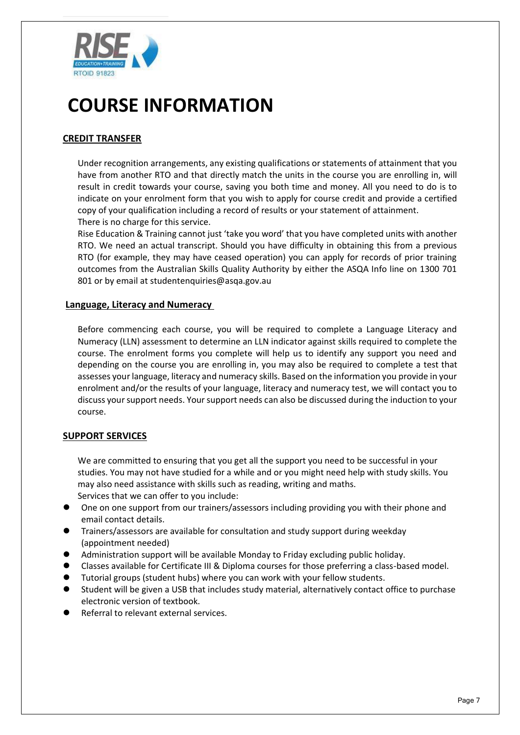

### **CREDIT TRANSFER**

Under recognition arrangements, any existing qualifications or statements of attainment that you have from another RTO and that directly match the units in the course you are enrolling in, will result in credit towards your course, saving you both time and money. All you need to do is to indicate on your enrolment form that you wish to apply for course credit and provide a certified copy of your qualification including a record of results or your statement of attainment. There is no charge for this service.

Rise Education & Training cannot just 'take you word' that you have completed units with another RTO. We need an actual transcript. Should you have difficulty in obtaining this from a previous RTO (for example, they may have ceased operation) you can apply for records of prior training outcomes from the Australian Skills Quality Authority by either the ASQA Info line on 1300 701 801 or by email at studentenquiries@asqa.gov.au

#### **Language, Literacy and Numeracy**

Before commencing each course, you will be required to complete a Language Literacy and Numeracy (LLN) assessment to determine an LLN indicator against skills required to complete the course. The enrolment forms you complete will help us to identify any support you need and depending on the course you are enrolling in, you may also be required to complete a test that assesses your language, literacy and numeracy skills. Based on the information you provide in your enrolment and/or the results of your language, literacy and numeracy test, we will contact you to discuss your support needs. Your support needs can also be discussed during the induction to your course.

#### **SUPPORT SERVICES**

We are committed to ensuring that you get all the support you need to be successful in your studies. You may not have studied for a while and or you might need help with study skills. You may also need assistance with skills such as reading, writing and maths. Services that we can offer to you include:

- ⚫ One on one support from our trainers/assessors including providing you with their phone and email contact details.
- ⚫ Trainers/assessors are available for consultation and study support during weekday (appointment needed)
- ⚫ Administration support will be available Monday to Friday excluding public holiday.
- ⚫ Classes available for Certificate III & Diploma courses for those preferring a class-based model.
- ⚫ Tutorial groups (student hubs) where you can work with your fellow students.
- ⚫ Student will be given a USB that includes study material, alternatively contact office to purchase electronic version of textbook.
- ⚫ Referral to relevant external services.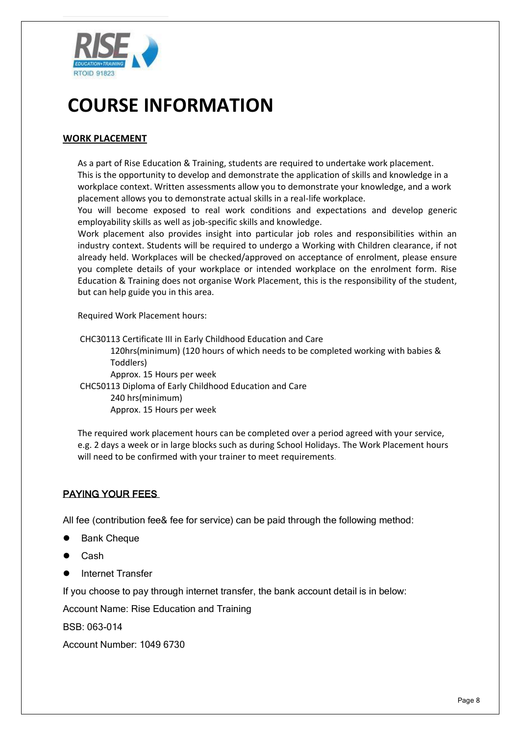

#### **WORK PLACEMENT**

As a part of Rise Education & Training, students are required to undertake work placement. This is the opportunity to develop and demonstrate the application of skills and knowledge in a workplace context. Written assessments allow you to demonstrate your knowledge, and a work placement allows you to demonstrate actual skills in a real-life workplace.

You will become exposed to real work conditions and expectations and develop generic employability skills as well as job-specific skills and knowledge.

Work placement also provides insight into particular job roles and responsibilities within an industry context. Students will be required to undergo a Working with Children clearance, if not already held. Workplaces will be checked/approved on acceptance of enrolment, please ensure you complete details of your workplace or intended workplace on the enrolment form. Rise Education & Training does not organise Work Placement, this is the responsibility of the student, but can help guide you in this area.

Required Work Placement hours:

CHC30113 Certificate III in Early Childhood Education and Care 120hrs(minimum) (120 hours of which needs to be completed working with babies & Toddlers) Approx. 15 Hours per week CHC50113 Diploma of Early Childhood Education and Care 240 hrs(minimum) Approx. 15 Hours per week

The required work placement hours can be completed over a period agreed with your service, e.g. 2 days a week or in large blocks such as during School Holidays. The Work Placement hours will need to be confirmed with your trainer to meet requirements.

#### PAYING YOUR FEES

All fee (contribution fee& fee for service) can be paid through the following method:

- **Bank Cheque**
- ⚫ Cash
- ⚫ Internet Transfer

If you choose to pay through internet transfer, the bank account detail is in below:

Account Name: Rise Education and Training

BSB: 063-014

Account Number: 1049 6730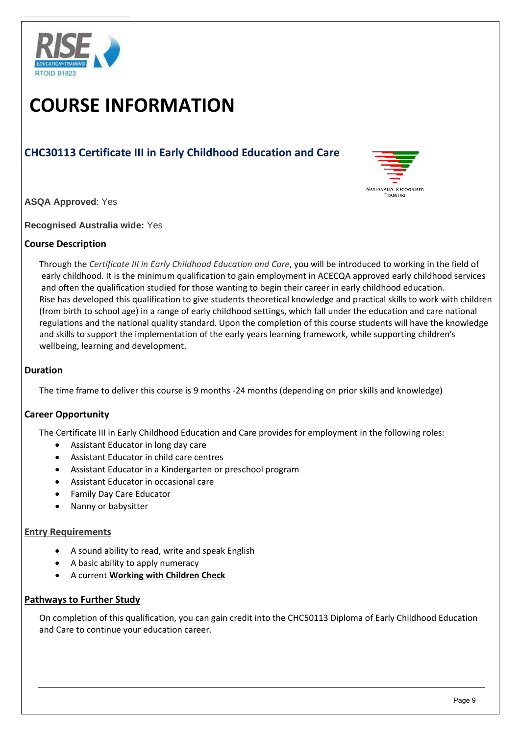

### **CHC30113 Certificate III in Early Childhood Education and Care**



**ASQA Approved**: Yes

**Recognised Australia wide:** Yes

#### **Course Description**

Through the *Certificate III in Early Childhood Education and Care*, you will be introduced to working in the field of early childhood. It is the minimum qualification to gain employment in ACECQA approved early childhood services and often the qualification studied for those wanting to begin their career in early childhood education. Rise has developed this qualification to give students theoretical knowledge and practical skills to work with children (from birth to school age) in a range of early childhood settings, which fall under the education and care national regulations and the national quality standard. Upon the completion of this course students will have the knowledge and skills to support the implementation of the early years learning framework, while supporting children's wellbeing, learning and development.

#### **Duration**

The time frame to deliver this course is 9 months -24 months (depending on prior skills and knowledge)

#### **Career Opportunity**

The Certificate III in Early Childhood Education and Care provides for employment in the following roles:

- Assistant Educator in long day care
- Assistant Educator in child care centres
- Assistant Educator in a Kindergarten or preschool program
- Assistant Educator in occasional care
- Family Day Care Educator
- Nanny or babysitter

#### **Entry Requirements**

- A sound ability to read, write and speak English
- A basic ability to apply numeracy
- A current **[Working with Children Check](http://aifs.gov.au/cfca/publications/pre-employment-screening-working-children-checks-and-police-checks/part-overview)**

#### **Pathways to Further Study**

On completion of this qualification, you can gain credit into the CHC50113 Diploma of Early Childhood Education and Care to continue your education career.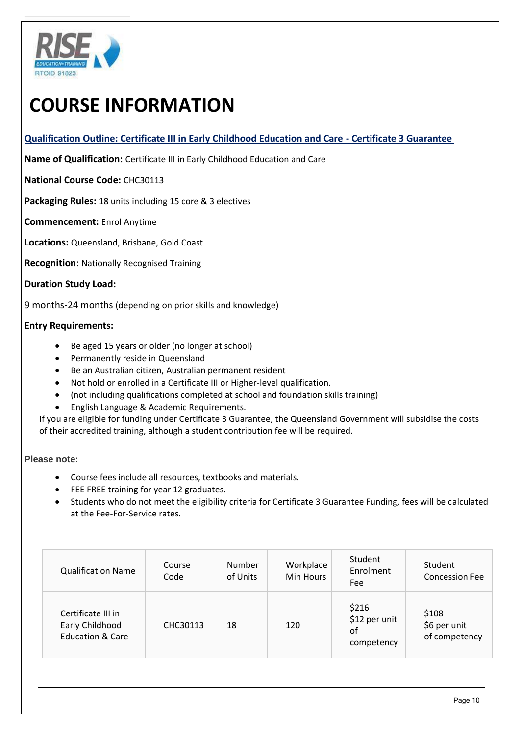

**Qualification Outline: Certificate III in Early Childhood Education and Care - Certificate 3 Guarantee** 

**Name of Qualification:** Certificate III in Early Childhood Education and Care

**National Course Code:** CHC30113

**Packaging Rules:** 18 units including 15 core & 3 electives

**Commencement:** Enrol Anytime

**Locations:** Queensland, Brisbane, Gold Coast

**Recognition**: Nationally Recognised Training

#### **Duration Study Load:**

9 months-24 months (depending on prior skills and knowledge)

#### **Entry Requirements:**

- Be aged 15 years or older (no longer at school)
- Permanently reside in Queensland
- Be an Australian citizen, Australian permanent resident
- Not hold or enrolled in a Certificate III or Higher-level qualification.
- (not including qualifications completed at school and foundation skills training)
- English Language & Academic Requirements.

If you are eligible for funding under Certificate 3 Guarantee, the Queensland Government will subsidise the costs of their accredited training, although a student contribution fee will be required.

#### **Please note:**

- Course fees include all resources, textbooks and materials.
- **[FEE FREE training](https://www.accco.com.au/fees-and-funding/qld/fee-free-training-for-year-12-graduates/) for year 12 graduates.**
- Students who do not meet the eligibility criteria for Certificate 3 Guarantee Funding, fees will be calculated at the Fee-For-Service rates.

| <b>Qualification Name</b>                                            | Course<br>Code | <b>Number</b><br>of Units | Workplace<br>Min Hours | Student<br>Enrolment<br>Fee                | Student<br><b>Concession Fee</b>       |
|----------------------------------------------------------------------|----------------|---------------------------|------------------------|--------------------------------------------|----------------------------------------|
| Certificate III in<br>Early Childhood<br><b>Education &amp; Care</b> | CHC30113       | 18                        | 120                    | \$216<br>\$12 per unit<br>of<br>competency | \$108<br>\$6 per unit<br>of competency |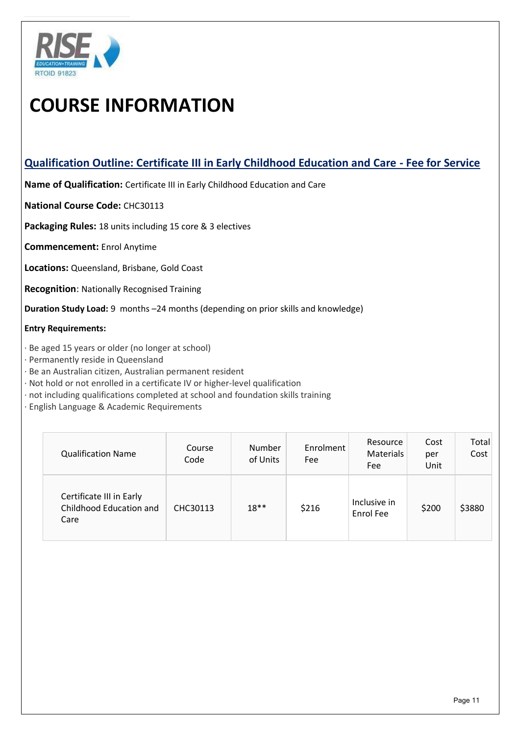

### **Qualification Outline: Certificate III in Early Childhood Education and Care - Fee for Service**

**Name of Qualification:** Certificate III in Early Childhood Education and Care

**National Course Code:** CHC30113

**Packaging Rules:** 18 units including 15 core & 3 electives

**Commencement:** Enrol Anytime

**Locations:** Queensland, Brisbane, Gold Coast

**Recognition**: Nationally Recognised Training

**Duration Study Load:** 9 months –24 months (depending on prior skills and knowledge)

#### **Entry Requirements:**

- · Be aged 15 years or older (no longer at school)
- · Permanently reside in Queensland
- · Be an Australian citizen, Australian permanent resident
- · Not hold or not enrolled in a certificate IV or higher-level qualification
- · not including qualifications completed at school and foundation skills training
- · English Language & Academic Requirements

| <b>Qualification Name</b>                                   | Course<br>Code | <b>Number</b><br>of Units | Enrolment<br>Fee | Resource<br><b>Materials</b><br>Fee | Cost<br>per<br>Unit | Total<br>Cost |
|-------------------------------------------------------------|----------------|---------------------------|------------------|-------------------------------------|---------------------|---------------|
| Certificate III in Early<br>Childhood Education and<br>Care | CHC30113       | $18**$                    | \$216            | Inclusive in<br>Enrol Fee           | \$200               | \$3880        |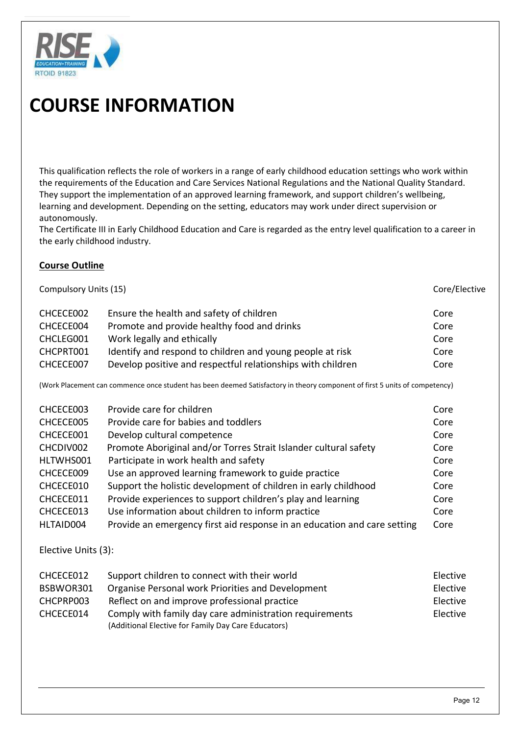

This qualification reflects the role of workers in a range of early childhood education settings who work within the requirements of the Education and Care Services National Regulations and the National Quality Standard. They support the implementation of an approved learning framework, and support children's wellbeing, learning and development. Depending on the setting, educators may work under direct supervision or autonomously.

The Certificate III in Early Childhood Education and Care is regarded as the entry level qualification to a career in the early childhood industry.

#### **Course Outline**

Compulsory Units (15) Compulsory Units (15) CHCECE002 Ensure the health and safety of children Core CHCECE004 Promote and provide healthy food and drinks Core CHCLEG001 Work legally and ethically Core CHCPRT001 Identify and respond to children and young people at risk Core CHCECE007 Develop positive and respectful relationships with children Core

(Work Placement can commence once student has been deemed Satisfactory in theory component of first 5 units of competency)

| CHCECE003 | Provide care for children                                                | Core |
|-----------|--------------------------------------------------------------------------|------|
| CHCECE005 | Provide care for babies and toddlers                                     | Core |
| CHCECE001 | Develop cultural competence                                              | Core |
| CHCDIV002 | Promote Aboriginal and/or Torres Strait Islander cultural safety         | Core |
| HLTWHS001 | Participate in work health and safety                                    | Core |
| CHCECE009 | Use an approved learning framework to guide practice                     | Core |
| CHCECE010 | Support the holistic development of children in early childhood          | Core |
| CHCECE011 | Provide experiences to support children's play and learning              | Core |
| CHCECE013 | Use information about children to inform practice                        | Core |
| HLTAID004 | Provide an emergency first aid response in an education and care setting | Core |

Elective Units (3):

| CHCECE012 | Support children to connect with their world            | Elective |
|-----------|---------------------------------------------------------|----------|
| BSBWOR301 | Organise Personal work Priorities and Development       | Elective |
| CHCPRP003 | Reflect on and improve professional practice            | Elective |
| CHCECE014 | Comply with family day care administration requirements | Elective |
|           | (Additional Elective for Family Day Care Educators)     |          |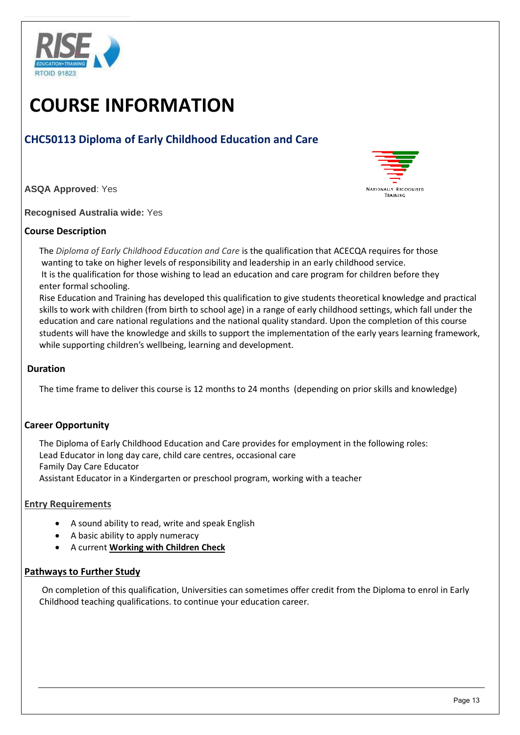

### **CHC50113 Diploma of Early Childhood Education and Care**

**ASQA Approved**: Yes



**Recognised Australia wide:** Yes

#### **Course Description**

The *Diploma of Early Childhood Education and Care* is the qualification that ACECQA requires for those wanting to take on higher levels of responsibility and leadership in an early childhood service. It is the qualification for those wishing to lead an education and care program for children before they enter formal schooling.

Rise Education and Training has developed this qualification to give students theoretical knowledge and practical skills to work with children (from birth to school age) in a range of early childhood settings, which fall under the education and care national regulations and the national quality standard. Upon the completion of this course students will have the knowledge and skills to support the implementation of the early years learning framework, while supporting children's wellbeing, learning and development.

#### **Duration**

The time frame to deliver this course is 12 months to 24 months (depending on prior skills and knowledge)

#### **Career Opportunity**

The Diploma of Early Childhood Education and Care provides for employment in the following roles: Lead Educator in long day care, child care centres, occasional care Family Day Care Educator Assistant Educator in a Kindergarten or preschool program, working with a teacher

#### **Entry Requirements**

- A sound ability to read, write and speak English
- A basic ability to apply numeracy
- A current **[Working with Children Check](http://aifs.gov.au/cfca/publications/pre-employment-screening-working-children-checks-and-police-checks/part-overview)**

#### **Pathways to Further Study**

On completion of this qualification, Universities can sometimes offer credit from the Diploma to enrol in Early Childhood teaching qualifications. to continue your education career.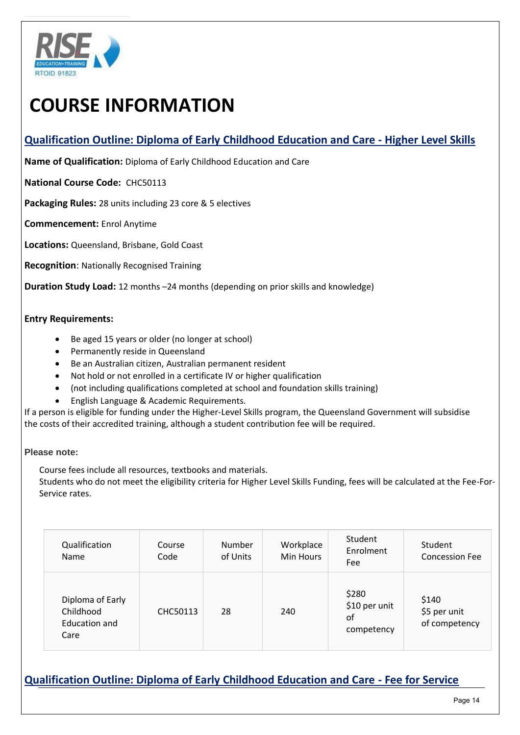

### **Qualification Outline: Diploma of Early Childhood Education and Care - Higher Level Skills**

**Name of Qualification:** Diploma of Early Childhood Education and Care

**National Course Code:** CHC50113

**Packaging Rules:** 28 units including 23 core & 5 electives

**Commencement:** Enrol Anytime

**Locations:** Queensland, Brisbane, Gold Coast

**Recognition**: Nationally Recognised Training

**Duration Study Load:** 12 months –24 months (depending on prior skills and knowledge)

#### **Entry Requirements:**

- Be aged 15 years or older (no longer at school)
- Permanently reside in Queensland
- Be an Australian citizen, Australian permanent resident
- Not hold or not enrolled in a certificate IV or higher qualification
- (not including qualifications completed at school and foundation skills training)
- English Language & Academic Requirements.

If a person is eligible for funding under the Higher-Level Skills program, the Queensland Government will subsidise the costs of their accredited training, although a student contribution fee will be required.

#### **Please note:**

Course fees include all resources, textbooks and materials.

Students who do not meet the eligibility criteria for Higher Level Skills Funding, fees will be calculated at the Fee-For-Service rates.

| Qualification<br>Name                                  | Course<br>Code | <b>Number</b><br>of Units | Workplace<br>Min Hours | Student<br>Enrolment<br>Fee                | Student<br><b>Concession Fee</b>       |
|--------------------------------------------------------|----------------|---------------------------|------------------------|--------------------------------------------|----------------------------------------|
| Diploma of Early<br>Childhood<br>Education and<br>Care | CHC50113       | 28                        | 240                    | \$280<br>\$10 per unit<br>οf<br>competency | \$140<br>\$5 per unit<br>of competency |

### **Qualification Outline: Diploma of Early Childhood Education and Care - Fee for Service**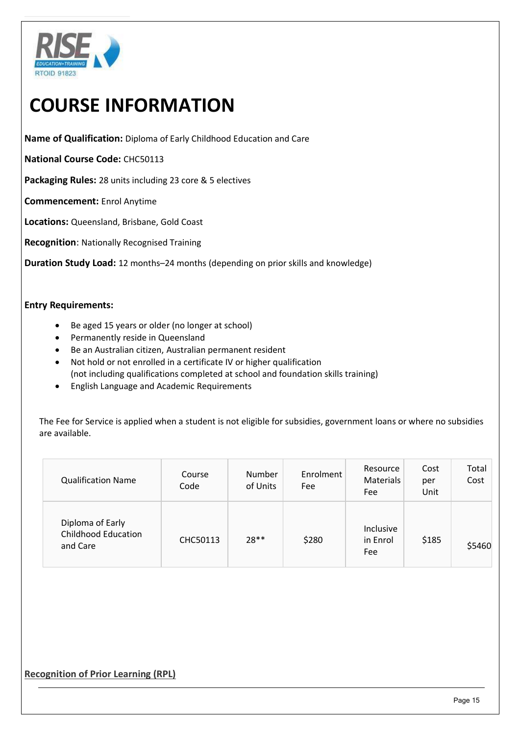

**Name of Qualification:** Diploma of Early Childhood Education and Care

**National Course Code:** CHC50113

**Packaging Rules:** 28 units including 23 core & 5 electives

**Commencement:** Enrol Anytime

**Locations:** Queensland, Brisbane, Gold Coast

**Recognition**: Nationally Recognised Training

**Duration Study Load:** 12 months–24 months (depending on prior skills and knowledge)

#### **Entry Requirements:**

- Be aged 15 years or older (no longer at school)
- Permanently reside in Queensland
- Be an Australian citizen, Australian permanent resident
- Not hold or not enrolled in a certificate IV or higher qualification (not including qualifications completed at school and foundation skills training)
- English Language and Academic Requirements

The Fee for Service is applied when a student is not eligible for subsidies, government loans or where no subsidies are available.

| <b>Qualification Name</b>                                  | Course<br>Code | Number<br>of Units | Enrolment<br>Fee | Resource<br>Materials<br>Fee | Cost<br>per<br>Unit | Total<br>Cost |
|------------------------------------------------------------|----------------|--------------------|------------------|------------------------------|---------------------|---------------|
| Diploma of Early<br><b>Childhood Education</b><br>and Care | CHC50113       | $28**$             | \$280            | Inclusive<br>in Enrol<br>Fee | \$185               | \$5460        |

#### **Recognition of Prior Learning (RPL)**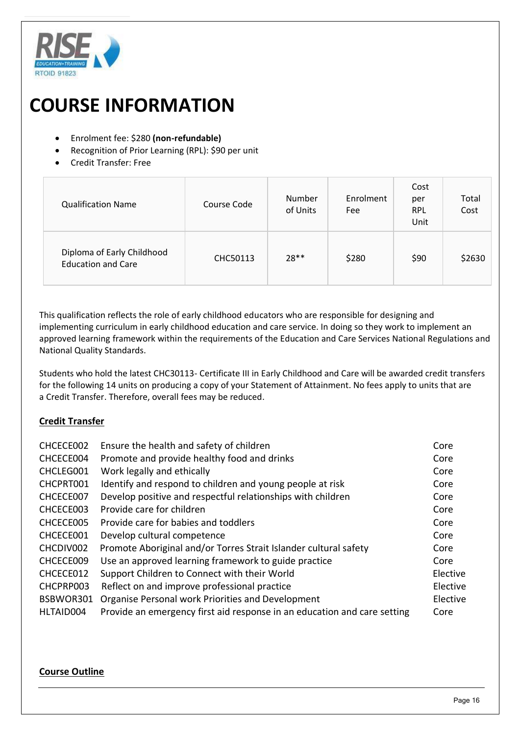

- Enrolment fee: \$280 **(non-refundable)**
- Recognition of Prior Learning (RPL): \$90 per unit
- Credit Transfer: Free

| <b>Qualification Name</b>                               | Course Code | Number<br>of Units | Enrolment<br>Fee | Cost<br>per<br><b>RPL</b><br>Unit | Total<br>Cost |
|---------------------------------------------------------|-------------|--------------------|------------------|-----------------------------------|---------------|
| Diploma of Early Childhood<br><b>Education and Care</b> | CHC50113    | $28**$             | \$280            | \$90                              | \$2630        |

This qualification reflects the role of early childhood educators who are responsible for designing and implementing curriculum in early childhood education and care service. In doing so they work to implement an approved learning framework within the requirements of the Education and Care Services National Regulations and National Quality Standards.

Students who hold the latest CHC30113- Certificate III in Early Childhood and Care will be awarded credit transfers for the following 14 units on producing a copy of your Statement of Attainment. No fees apply to units that are a Credit Transfer. Therefore, overall fees may be reduced.

#### **Credit Transfer**

| CHCECE002 | Ensure the health and safety of children                                 | Core     |
|-----------|--------------------------------------------------------------------------|----------|
| CHCECE004 | Promote and provide healthy food and drinks                              | Core     |
| CHCLEG001 | Work legally and ethically                                               | Core     |
| CHCPRT001 | Identify and respond to children and young people at risk                | Core     |
| CHCECE007 | Develop positive and respectful relationships with children              | Core     |
| CHCECE003 | Provide care for children                                                | Core     |
| CHCECE005 | Provide care for babies and toddlers                                     | Core     |
| CHCECE001 | Develop cultural competence                                              | Core     |
| CHCDIV002 | Promote Aboriginal and/or Torres Strait Islander cultural safety         | Core     |
| CHCECE009 | Use an approved learning framework to guide practice                     | Core     |
| CHCECE012 | Support Children to Connect with their World                             | Elective |
| CHCPRP003 | Reflect on and improve professional practice                             | Elective |
| BSBWOR301 | Organise Personal work Priorities and Development                        | Elective |
| HLTAID004 | Provide an emergency first aid response in an education and care setting | Core     |
|           |                                                                          |          |

#### **Course Outline**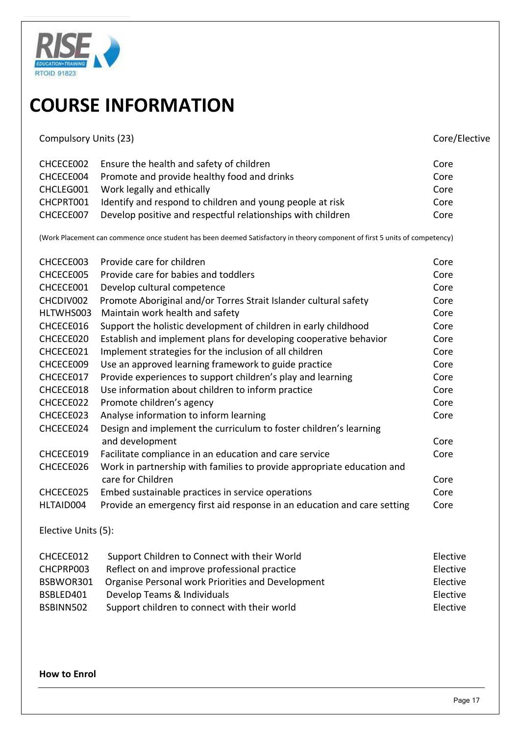

| <b>Compulsory Units (23)</b> |                                                                                                                            | Core/Elective |
|------------------------------|----------------------------------------------------------------------------------------------------------------------------|---------------|
| CHCECE002                    | Ensure the health and safety of children                                                                                   | Core          |
| CHCECE004                    | Promote and provide healthy food and drinks                                                                                | Core          |
| CHCLEG001                    | Work legally and ethically                                                                                                 | Core          |
| CHCPRT001                    | Identify and respond to children and young people at risk                                                                  | Core          |
| CHCECE007                    | Develop positive and respectful relationships with children                                                                | Core          |
|                              | (Work Placement can commence once student has been deemed Satisfactory in theory component of first 5 units of competency) |               |
| CHCECE003                    | Provide care for children                                                                                                  | Core          |
| CHCECE005                    | Provide care for babies and toddlers                                                                                       | Core          |
| CHCECE001                    | Develop cultural competence                                                                                                | Core          |
| CHCDIV002                    | Promote Aboriginal and/or Torres Strait Islander cultural safety                                                           | Core          |
| HLTWHS003                    | Maintain work health and safety                                                                                            | Core          |
| CHCECE016                    | Support the holistic development of children in early childhood                                                            | Core          |
| CHCECE020                    | Establish and implement plans for developing cooperative behavior                                                          | Core          |
| CHCECE021                    | Implement strategies for the inclusion of all children                                                                     | Core          |
| CHCECE009                    | Use an approved learning framework to guide practice                                                                       | Core          |
| CHCECE017                    | Provide experiences to support children's play and learning                                                                | Core          |
| CHCECE018                    | Use information about children to inform practice                                                                          | Core          |
| CHCECE022                    | Promote children's agency                                                                                                  | Core          |
| CHCECE023                    | Analyse information to inform learning                                                                                     | Core          |
| CHCECE024                    | Design and implement the curriculum to foster children's learning                                                          |               |
|                              | and development                                                                                                            | Core          |
| CHCECE019                    | Facilitate compliance in an education and care service                                                                     | Core          |
| CHCECE026                    | Work in partnership with families to provide appropriate education and<br>care for Children                                | Core          |
| CHCECE025                    | Embed sustainable practices in service operations                                                                          | Core          |
| HLTAID004                    | Provide an emergency first aid response in an education and care setting                                                   | Core          |
| Elective Units (5):          |                                                                                                                            |               |
| CHCECE012                    | Support Children to Connect with their World                                                                               | Elective      |
| CHCPRP003                    | Reflect on and improve professional practice                                                                               | Elective      |
| BSBWOR301                    | Organise Personal work Priorities and Development                                                                          | Elective      |
| BSBLED401                    | Develop Teams & Individuals                                                                                                | Elective      |
| BSBINN502                    | Support children to connect with their world                                                                               | Elective      |

#### **How to Enrol**